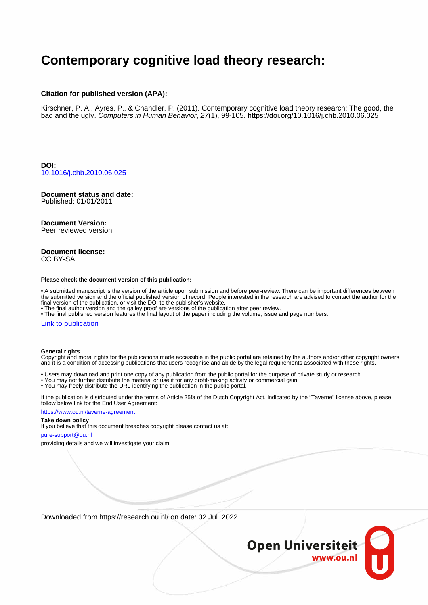# **Contemporary cognitive load theory research:**

#### **Citation for published version (APA):**

Kirschner, P. A., Ayres, P., & Chandler, P. (2011). Contemporary cognitive load theory research: The good, the bad and the ugly. Computers in Human Behavior, 27(1), 99-105.<https://doi.org/10.1016/j.chb.2010.06.025>

**DOI:** [10.1016/j.chb.2010.06.025](https://doi.org/10.1016/j.chb.2010.06.025)

# **Document status and date:**

Published: 01/01/2011

#### **Document Version:**

Peer reviewed version

#### **Document license:** CC BY-SA

#### **Please check the document version of this publication:**

• A submitted manuscript is the version of the article upon submission and before peer-review. There can be important differences between the submitted version and the official published version of record. People interested in the research are advised to contact the author for the final version of the publication, or visit the DOI to the publisher's website.

• The final author version and the galley proof are versions of the publication after peer review.

• The final published version features the final layout of the paper including the volume, issue and page numbers.

#### [Link to publication](https://research.ou.nl/en/publications/57605134-48b4-49e2-bce6-1827bcfb0327)

#### **General rights**

Copyright and moral rights for the publications made accessible in the public portal are retained by the authors and/or other copyright owners and it is a condition of accessing publications that users recognise and abide by the legal requirements associated with these rights.

- Users may download and print one copy of any publication from the public portal for the purpose of private study or research.
- You may not further distribute the material or use it for any profit-making activity or commercial gain
- You may freely distribute the URL identifying the publication in the public portal.

If the publication is distributed under the terms of Article 25fa of the Dutch Copyright Act, indicated by the "Taverne" license above, please follow below link for the End User Agreement:

#### https://www.ou.nl/taverne-agreement

### **Take down policy**

If you believe that this document breaches copyright please contact us at:

#### pure-support@ou.nl

providing details and we will investigate your claim.

Downloaded from https://research.ou.nl/ on date: 02 Jul. 2022

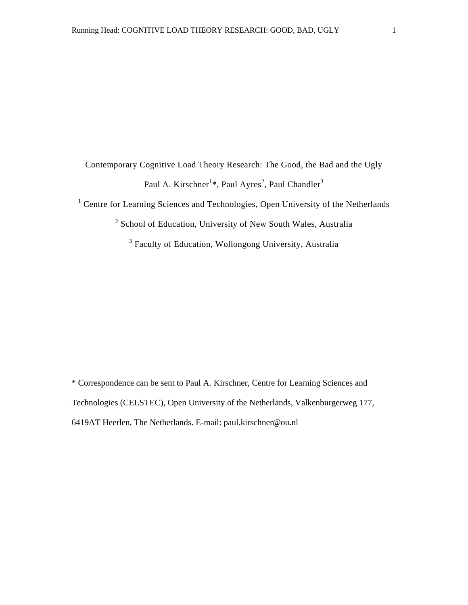Contemporary Cognitive Load Theory Research: The Good, the Bad and the Ugly Paul A. Kirschner<sup>1\*</sup>, Paul Ayres<sup>2</sup>, Paul Chandler<sup>3</sup>

<sup>1</sup> Centre for Learning Sciences and Technologies, Open University of the Netherlands

<sup>2</sup> School of Education, University of New South Wales, Australia

<sup>3</sup> Faculty of Education, Wollongong University, Australia

\* Correspondence can be sent to Paul A. Kirschner, Centre for Learning Sciences and Technologies (CELSTEC), Open University of the Netherlands, Valkenburgerweg 177, 6419AT Heerlen, The Netherlands. E-mail: paul.kirschner@ou.nl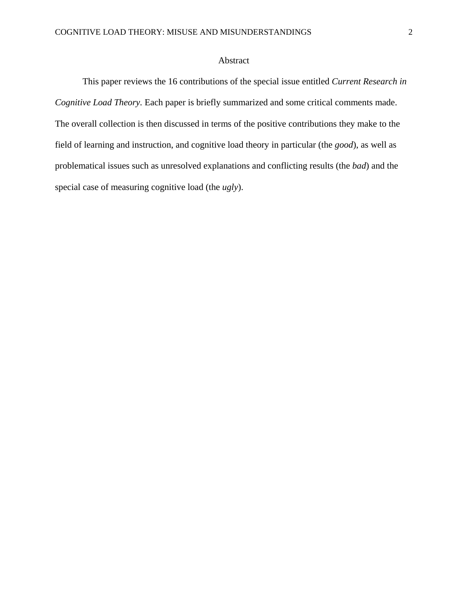# Abstract

This paper reviews the 16 contributions of the special issue entitled *Current Research in Cognitive Load Theory.* Each paper is briefly summarized and some critical comments made. The overall collection is then discussed in terms of the positive contributions they make to the field of learning and instruction, and cognitive load theory in particular (the *good*), as well as problematical issues such as unresolved explanations and conflicting results (the *bad*) and the special case of measuring cognitive load (the *ugly*).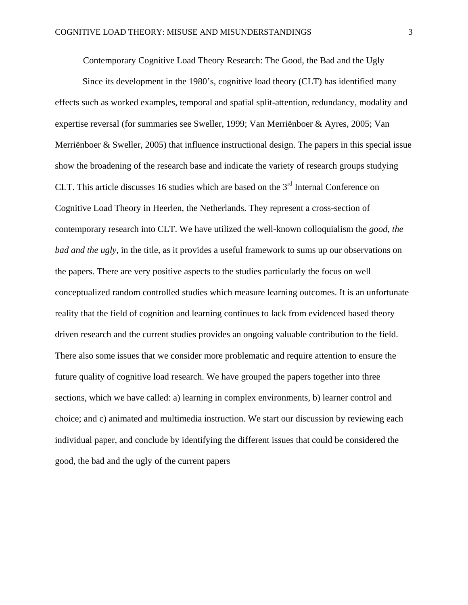Contemporary Cognitive Load Theory Research: The Good, the Bad and the Ugly

Since its development in the 1980's, cognitive load theory (CLT) has identified many effects such as worked examples, temporal and spatial split-attention, redundancy, modality and expertise reversal (for summaries see Sweller, 1999; Van Merriënboer & Ayres, 2005; Van Merriënboer & Sweller, 2005) that influence instructional design. The papers in this special issue show the broadening of the research base and indicate the variety of research groups studying CLT. This article discusses 16 studies which are based on the  $3<sup>rd</sup>$  Internal Conference on Cognitive Load Theory in Heerlen, the Netherlands. They represent a cross-section of contemporary research into CLT. We have utilized the well-known colloquialism the *good, the bad and the ugly*, in the title, as it provides a useful framework to sums up our observations on the papers. There are very positive aspects to the studies particularly the focus on well conceptualized random controlled studies which measure learning outcomes. It is an unfortunate reality that the field of cognition and learning continues to lack from evidenced based theory driven research and the current studies provides an ongoing valuable contribution to the field. There also some issues that we consider more problematic and require attention to ensure the future quality of cognitive load research. We have grouped the papers together into three sections, which we have called: a) learning in complex environments, b) learner control and choice; and c) animated and multimedia instruction. We start our discussion by reviewing each individual paper, and conclude by identifying the different issues that could be considered the good, the bad and the ugly of the current papers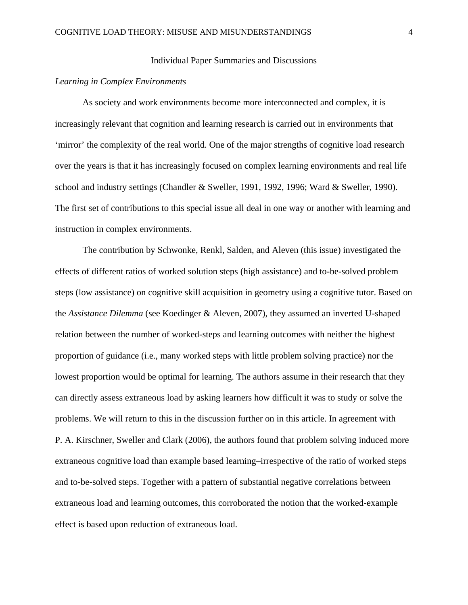### Individual Paper Summaries and Discussions

# *Learning in Complex Environments*

As society and work environments become more interconnected and complex, it is increasingly relevant that cognition and learning research is carried out in environments that 'mirror' the complexity of the real world. One of the major strengths of cognitive load research over the years is that it has increasingly focused on complex learning environments and real life school and industry settings (Chandler & Sweller, 1991, 1992, 1996; Ward & Sweller, 1990). The first set of contributions to this special issue all deal in one way or another with learning and instruction in complex environments.

The contribution by Schwonke, Renkl, Salden, and Aleven (this issue) investigated the effects of different ratios of worked solution steps (high assistance) and to-be-solved problem steps (low assistance) on cognitive skill acquisition in geometry using a cognitive tutor. Based on the *Assistance Dilemma* (see Koedinger & Aleven, 2007), they assumed an inverted U-shaped relation between the number of worked-steps and learning outcomes with neither the highest proportion of guidance (i.e., many worked steps with little problem solving practice) nor the lowest proportion would be optimal for learning. The authors assume in their research that they can directly assess extraneous load by asking learners how difficult it was to study or solve the problems. We will return to this in the discussion further on in this article. In agreement with P. A. Kirschner, Sweller and Clark (2006), the authors found that problem solving induced more extraneous cognitive load than example based learning–irrespective of the ratio of worked steps and to-be-solved steps. Together with a pattern of substantial negative correlations between extraneous load and learning outcomes, this corroborated the notion that the worked-example effect is based upon reduction of extraneous load.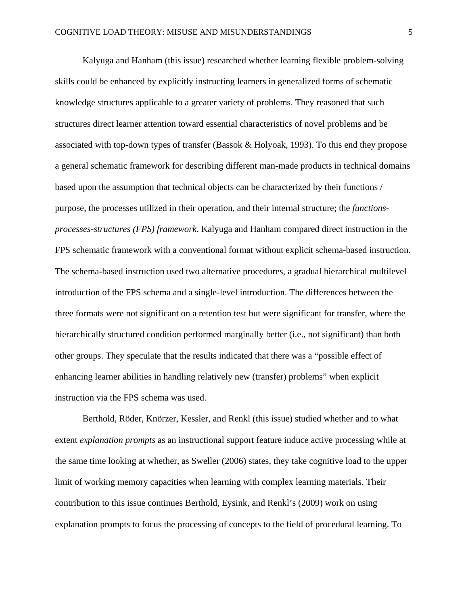Kalyuga and Hanham (this issue) researched whether learning flexible problem-solving skills could be enhanced by explicitly instructing learners in generalized forms of schematic knowledge structures applicable to a greater variety of problems. They reasoned that such structures direct learner attention toward essential characteristics of novel problems and be associated with top-down types of transfer (Bassok & Holyoak, 1993). To this end they propose a general schematic framework for describing different man-made products in technical domains based upon the assumption that technical objects can be characterized by their functions / purpose, the processes utilized in their operation, and their internal structure; the *functionsprocesses-structures (FPS) framework*. Kalyuga and Hanham compared direct instruction in the FPS schematic framework with a conventional format without explicit schema-based instruction. The schema-based instruction used two alternative procedures, a gradual hierarchical multilevel introduction of the FPS schema and a single-level introduction. The differences between the three formats were not significant on a retention test but were significant for transfer, where the hierarchically structured condition performed marginally better (i.e., not significant) than both other groups. They speculate that the results indicated that there was a "possible effect of enhancing learner abilities in handling relatively new (transfer) problems" when explicit instruction via the FPS schema was used.

Berthold, Röder, Knörzer, Kessler, and Renkl (this issue) studied whether and to what extent *explanation prompts* as an instructional support feature induce active processing while at the same time looking at whether, as Sweller (2006) states, they take cognitive load to the upper limit of working memory capacities when learning with complex learning materials. Their contribution to this issue continues Berthold, Eysink, and Renkl's (2009) work on using explanation prompts to focus the processing of concepts to the field of procedural learning. To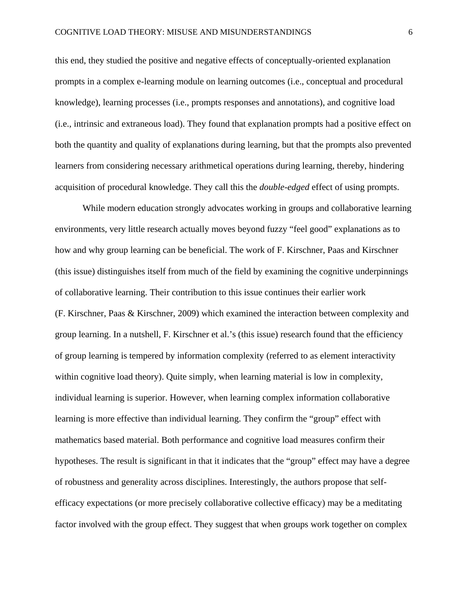this end, they studied the positive and negative effects of conceptually-oriented explanation prompts in a complex e-learning module on learning outcomes (i.e., conceptual and procedural knowledge), learning processes (i.e., prompts responses and annotations), and cognitive load (i.e., intrinsic and extraneous load). They found that explanation prompts had a positive effect on both the quantity and quality of explanations during learning, but that the prompts also prevented learners from considering necessary arithmetical operations during learning, thereby, hindering acquisition of procedural knowledge. They call this the *double-edged* effect of using prompts.

While modern education strongly advocates working in groups and collaborative learning environments, very little research actually moves beyond fuzzy "feel good" explanations as to how and why group learning can be beneficial. The work of F. Kirschner, Paas and Kirschner (this issue) distinguishes itself from much of the field by examining the cognitive underpinnings of collaborative learning. Their contribution to this issue continues their earlier work (F. Kirschner, Paas & Kirschner, 2009) which examined the interaction between complexity and group learning. In a nutshell, F. Kirschner et al.'s (this issue) research found that the efficiency of group learning is tempered by information complexity (referred to as element interactivity within cognitive load theory). Quite simply, when learning material is low in complexity, individual learning is superior. However, when learning complex information collaborative learning is more effective than individual learning. They confirm the "group" effect with mathematics based material. Both performance and cognitive load measures confirm their hypotheses. The result is significant in that it indicates that the "group" effect may have a degree of robustness and generality across disciplines. Interestingly, the authors propose that selfefficacy expectations (or more precisely collaborative collective efficacy) may be a meditating factor involved with the group effect. They suggest that when groups work together on complex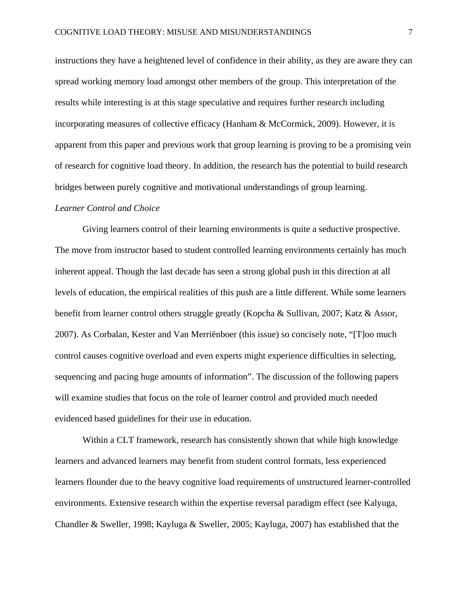instructions they have a heightened level of confidence in their ability, as they are aware they can spread working memory load amongst other members of the group. This interpretation of the results while interesting is at this stage speculative and requires further research including incorporating measures of collective efficacy (Hanham & McCormick, 2009). However, it is apparent from this paper and previous work that group learning is proving to be a promising vein of research for cognitive load theory. In addition, the research has the potential to build research bridges between purely cognitive and motivational understandings of group learning.

### *Learner Control and Choice*

Giving learners control of their learning environments is quite a seductive prospective. The move from instructor based to student controlled learning environments certainly has much inherent appeal. Though the last decade has seen a strong global push in this direction at all levels of education, the empirical realities of this push are a little different. While some learners benefit from learner control others struggle greatly (Kopcha & Sullivan, 2007; Katz & Assor, 2007). As Corbalan, Kester and Van Merriënboer (this issue) so concisely note, "[T]oo much control causes cognitive overload and even experts might experience difficulties in selecting, sequencing and pacing huge amounts of information". The discussion of the following papers will examine studies that focus on the role of learner control and provided much needed evidenced based guidelines for their use in education.

Within a CLT framework, research has consistently shown that while high knowledge learners and advanced learners may benefit from student control formats, less experienced learners flounder due to the heavy cognitive load requirements of unstructured learner-controlled environments. Extensive research within the expertise reversal paradigm effect (see Kalyuga, Chandler & Sweller, 1998; Kayluga & Sweller, 2005; Kayluga, 2007) has established that the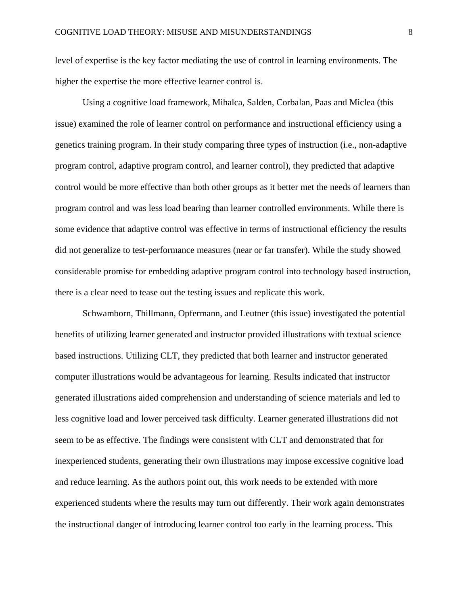level of expertise is the key factor mediating the use of control in learning environments. The higher the expertise the more effective learner control is.

Using a cognitive load framework, Mihalca, Salden, Corbalan, Paas and Miclea (this issue) examined the role of learner control on performance and instructional efficiency using a genetics training program. In their study comparing three types of instruction (i.e., non-adaptive program control, adaptive program control, and learner control), they predicted that adaptive control would be more effective than both other groups as it better met the needs of learners than program control and was less load bearing than learner controlled environments. While there is some evidence that adaptive control was effective in terms of instructional efficiency the results did not generalize to test-performance measures (near or far transfer). While the study showed considerable promise for embedding adaptive program control into technology based instruction, there is a clear need to tease out the testing issues and replicate this work.

Schwamborn, Thillmann, Opfermann, and Leutner (this issue) investigated the potential benefits of utilizing learner generated and instructor provided illustrations with textual science based instructions. Utilizing CLT, they predicted that both learner and instructor generated computer illustrations would be advantageous for learning. Results indicated that instructor generated illustrations aided comprehension and understanding of science materials and led to less cognitive load and lower perceived task difficulty. Learner generated illustrations did not seem to be as effective. The findings were consistent with CLT and demonstrated that for inexperienced students, generating their own illustrations may impose excessive cognitive load and reduce learning. As the authors point out, this work needs to be extended with more experienced students where the results may turn out differently. Their work again demonstrates the instructional danger of introducing learner control too early in the learning process. This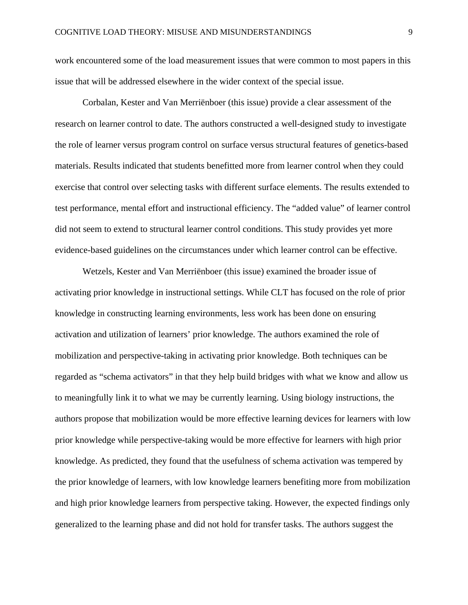work encountered some of the load measurement issues that were common to most papers in this issue that will be addressed elsewhere in the wider context of the special issue.

Corbalan, Kester and Van Merriënboer (this issue) provide a clear assessment of the research on learner control to date. The authors constructed a well-designed study to investigate the role of learner versus program control on surface versus structural features of genetics-based materials. Results indicated that students benefitted more from learner control when they could exercise that control over selecting tasks with different surface elements. The results extended to test performance, mental effort and instructional efficiency. The "added value" of learner control did not seem to extend to structural learner control conditions. This study provides yet more evidence-based guidelines on the circumstances under which learner control can be effective.

Wetzels, Kester and Van Merriënboer (this issue) examined the broader issue of activating prior knowledge in instructional settings. While CLT has focused on the role of prior knowledge in constructing learning environments, less work has been done on ensuring activation and utilization of learners' prior knowledge. The authors examined the role of mobilization and perspective-taking in activating prior knowledge. Both techniques can be regarded as "schema activators" in that they help build bridges with what we know and allow us to meaningfully link it to what we may be currently learning. Using biology instructions, the authors propose that mobilization would be more effective learning devices for learners with low prior knowledge while perspective-taking would be more effective for learners with high prior knowledge. As predicted, they found that the usefulness of schema activation was tempered by the prior knowledge of learners, with low knowledge learners benefiting more from mobilization and high prior knowledge learners from perspective taking. However, the expected findings only generalized to the learning phase and did not hold for transfer tasks. The authors suggest the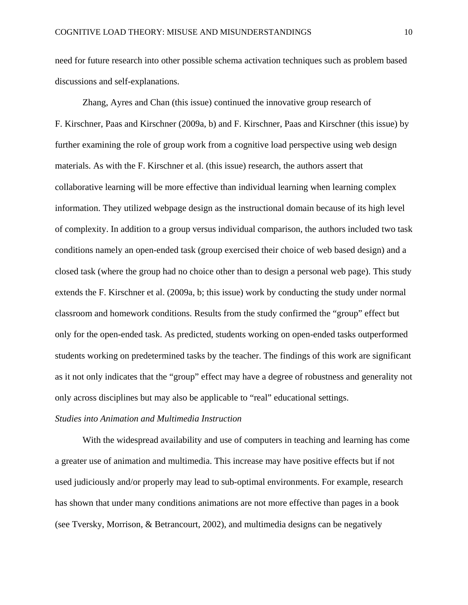need for future research into other possible schema activation techniques such as problem based discussions and self-explanations.

Zhang, Ayres and Chan (this issue) continued the innovative group research of F. Kirschner, Paas and Kirschner (2009a, b) and F. Kirschner, Paas and Kirschner (this issue) by further examining the role of group work from a cognitive load perspective using web design materials. As with the F. Kirschner et al. (this issue) research, the authors assert that collaborative learning will be more effective than individual learning when learning complex information. They utilized webpage design as the instructional domain because of its high level of complexity. In addition to a group versus individual comparison, the authors included two task conditions namely an open-ended task (group exercised their choice of web based design) and a closed task (where the group had no choice other than to design a personal web page). This study extends the F. Kirschner et al. (2009a, b; this issue) work by conducting the study under normal classroom and homework conditions. Results from the study confirmed the "group" effect but only for the open-ended task. As predicted, students working on open-ended tasks outperformed students working on predetermined tasks by the teacher. The findings of this work are significant as it not only indicates that the "group" effect may have a degree of robustness and generality not only across disciplines but may also be applicable to "real" educational settings.

# *Studies into Animation and Multimedia Instruction*

With the widespread availability and use of computers in teaching and learning has come a greater use of animation and multimedia. This increase may have positive effects but if not used judiciously and/or properly may lead to sub-optimal environments. For example, research has shown that under many conditions animations are not more effective than pages in a book (see Tversky, Morrison, & Betrancourt, 2002), and multimedia designs can be negatively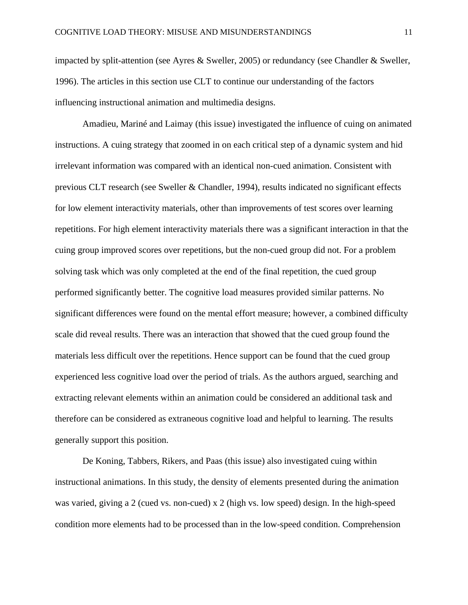impacted by split-attention (see Ayres & Sweller, 2005) or redundancy (see Chandler & Sweller, 1996). The articles in this section use CLT to continue our understanding of the factors influencing instructional animation and multimedia designs.

Amadieu, Mariné and Laimay (this issue) investigated the influence of cuing on animated instructions. A cuing strategy that zoomed in on each critical step of a dynamic system and hid irrelevant information was compared with an identical non-cued animation. Consistent with previous CLT research (see Sweller & Chandler, 1994), results indicated no significant effects for low element interactivity materials, other than improvements of test scores over learning repetitions. For high element interactivity materials there was a significant interaction in that the cuing group improved scores over repetitions, but the non-cued group did not. For a problem solving task which was only completed at the end of the final repetition, the cued group performed significantly better. The cognitive load measures provided similar patterns. No significant differences were found on the mental effort measure; however, a combined difficulty scale did reveal results. There was an interaction that showed that the cued group found the materials less difficult over the repetitions. Hence support can be found that the cued group experienced less cognitive load over the period of trials. As the authors argued, searching and extracting relevant elements within an animation could be considered an additional task and therefore can be considered as extraneous cognitive load and helpful to learning. The results generally support this position.

De Koning, Tabbers, Rikers, and Paas (this issue) also investigated cuing within instructional animations. In this study, the density of elements presented during the animation was varied, giving a 2 (cued vs. non-cued) x 2 (high vs. low speed) design. In the high-speed condition more elements had to be processed than in the low-speed condition. Comprehension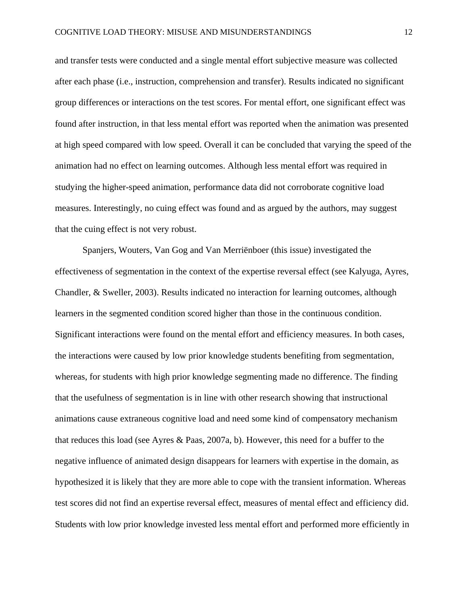and transfer tests were conducted and a single mental effort subjective measure was collected after each phase (i.e., instruction, comprehension and transfer). Results indicated no significant group differences or interactions on the test scores. For mental effort, one significant effect was found after instruction, in that less mental effort was reported when the animation was presented at high speed compared with low speed. Overall it can be concluded that varying the speed of the animation had no effect on learning outcomes. Although less mental effort was required in studying the higher-speed animation, performance data did not corroborate cognitive load measures. Interestingly, no cuing effect was found and as argued by the authors, may suggest that the cuing effect is not very robust.

Spanjers, Wouters, Van Gog and Van Merriënboer (this issue) investigated the effectiveness of segmentation in the context of the expertise reversal effect (see Kalyuga, Ayres, Chandler, & Sweller, 2003). Results indicated no interaction for learning outcomes, although learners in the segmented condition scored higher than those in the continuous condition. Significant interactions were found on the mental effort and efficiency measures. In both cases, the interactions were caused by low prior knowledge students benefiting from segmentation, whereas, for students with high prior knowledge segmenting made no difference. The finding that the usefulness of segmentation is in line with other research showing that instructional animations cause extraneous cognitive load and need some kind of compensatory mechanism that reduces this load (see Ayres & Paas, 2007a, b). However, this need for a buffer to the negative influence of animated design disappears for learners with expertise in the domain, as hypothesized it is likely that they are more able to cope with the transient information. Whereas test scores did not find an expertise reversal effect, measures of mental effect and efficiency did. Students with low prior knowledge invested less mental effort and performed more efficiently in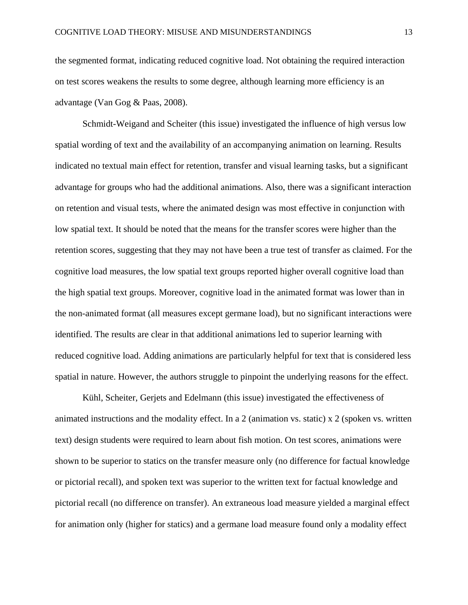the segmented format, indicating reduced cognitive load. Not obtaining the required interaction on test scores weakens the results to some degree, although learning more efficiency is an advantage (Van Gog & Paas, 2008).

Schmidt-Weigand and Scheiter (this issue) investigated the influence of high versus low spatial wording of text and the availability of an accompanying animation on learning. Results indicated no textual main effect for retention, transfer and visual learning tasks, but a significant advantage for groups who had the additional animations. Also, there was a significant interaction on retention and visual tests, where the animated design was most effective in conjunction with low spatial text. It should be noted that the means for the transfer scores were higher than the retention scores, suggesting that they may not have been a true test of transfer as claimed. For the cognitive load measures, the low spatial text groups reported higher overall cognitive load than the high spatial text groups. Moreover, cognitive load in the animated format was lower than in the non-animated format (all measures except germane load), but no significant interactions were identified. The results are clear in that additional animations led to superior learning with reduced cognitive load. Adding animations are particularly helpful for text that is considered less spatial in nature. However, the authors struggle to pinpoint the underlying reasons for the effect.

Kühl, Scheiter, Gerjets and Edelmann (this issue) investigated the effectiveness of animated instructions and the modality effect. In a 2 (animation vs. static) x 2 (spoken vs. written text) design students were required to learn about fish motion. On test scores, animations were shown to be superior to statics on the transfer measure only (no difference for factual knowledge or pictorial recall), and spoken text was superior to the written text for factual knowledge and pictorial recall (no difference on transfer). An extraneous load measure yielded a marginal effect for animation only (higher for statics) and a germane load measure found only a modality effect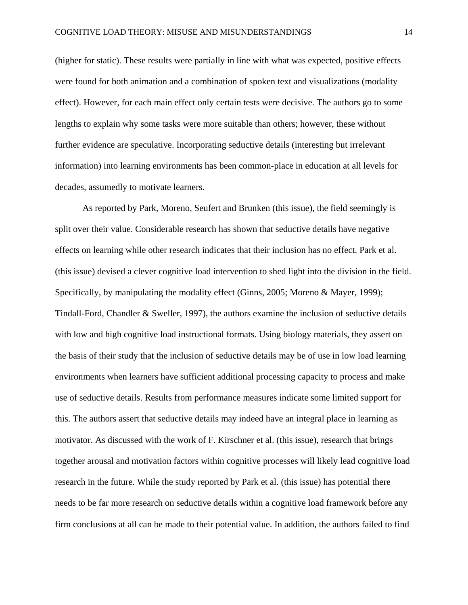(higher for static). These results were partially in line with what was expected, positive effects were found for both animation and a combination of spoken text and visualizations (modality effect). However, for each main effect only certain tests were decisive. The authors go to some lengths to explain why some tasks were more suitable than others; however, these without further evidence are speculative. Incorporating seductive details (interesting but irrelevant information) into learning environments has been common-place in education at all levels for decades, assumedly to motivate learners.

As reported by Park, Moreno, Seufert and Brunken (this issue), the field seemingly is split over their value. Considerable research has shown that seductive details have negative effects on learning while other research indicates that their inclusion has no effect. Park et al. (this issue) devised a clever cognitive load intervention to shed light into the division in the field. Specifically, by manipulating the modality effect (Ginns, 2005; Moreno & Mayer, 1999); Tindall-Ford, Chandler & Sweller, 1997), the authors examine the inclusion of seductive details with low and high cognitive load instructional formats. Using biology materials, they assert on the basis of their study that the inclusion of seductive details may be of use in low load learning environments when learners have sufficient additional processing capacity to process and make use of seductive details. Results from performance measures indicate some limited support for this. The authors assert that seductive details may indeed have an integral place in learning as motivator. As discussed with the work of F. Kirschner et al. (this issue), research that brings together arousal and motivation factors within cognitive processes will likely lead cognitive load research in the future. While the study reported by Park et al. (this issue) has potential there needs to be far more research on seductive details within a cognitive load framework before any firm conclusions at all can be made to their potential value. In addition, the authors failed to find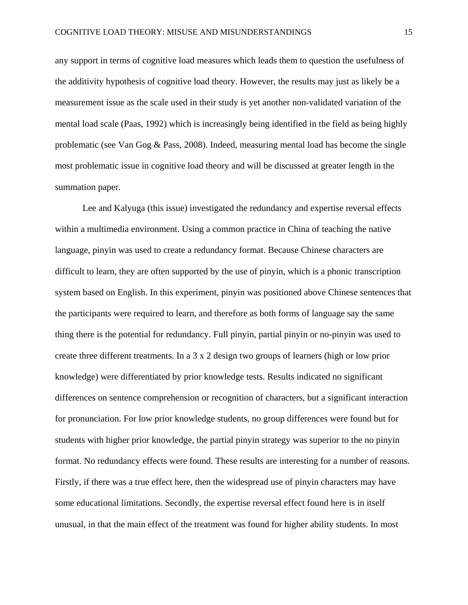any support in terms of cognitive load measures which leads them to question the usefulness of the additivity hypothesis of cognitive load theory. However, the results may just as likely be a measurement issue as the scale used in their study is yet another non-validated variation of the mental load scale (Paas, 1992) which is increasingly being identified in the field as being highly problematic (see Van Gog & Pass, 2008). Indeed, measuring mental load has become the single most problematic issue in cognitive load theory and will be discussed at greater length in the summation paper.

Lee and Kalyuga (this issue) investigated the redundancy and expertise reversal effects within a multimedia environment. Using a common practice in China of teaching the native language, pinyin was used to create a redundancy format. Because Chinese characters are difficult to learn, they are often supported by the use of pinyin, which is a phonic transcription system based on English. In this experiment, pinyin was positioned above Chinese sentences that the participants were required to learn, and therefore as both forms of language say the same thing there is the potential for redundancy. Full pinyin, partial pinyin or no-pinyin was used to create three different treatments. In a 3 x 2 design two groups of learners (high or low prior knowledge) were differentiated by prior knowledge tests. Results indicated no significant differences on sentence comprehension or recognition of characters, but a significant interaction for pronunciation. For low prior knowledge students, no group differences were found but for students with higher prior knowledge, the partial pinyin strategy was superior to the no pinyin format. No redundancy effects were found. These results are interesting for a number of reasons. Firstly, if there was a true effect here, then the widespread use of pinyin characters may have some educational limitations. Secondly, the expertise reversal effect found here is in itself unusual, in that the main effect of the treatment was found for higher ability students. In most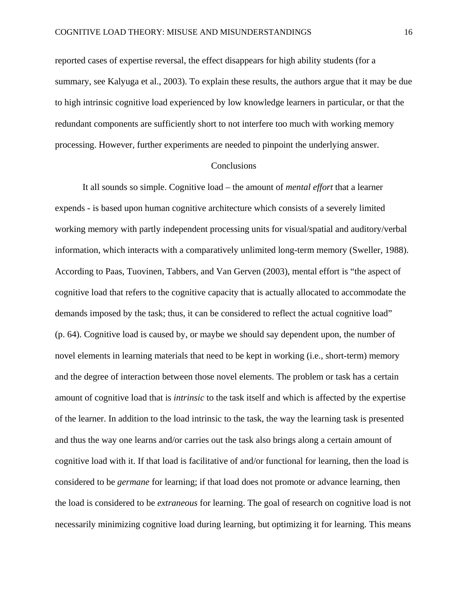reported cases of expertise reversal, the effect disappears for high ability students (for a summary, see Kalyuga et al., 2003). To explain these results, the authors argue that it may be due to high intrinsic cognitive load experienced by low knowledge learners in particular, or that the redundant components are sufficiently short to not interfere too much with working memory processing. However, further experiments are needed to pinpoint the underlying answer.

#### Conclusions

It all sounds so simple. Cognitive load – the amount of *mental effort* that a learner expends - is based upon human cognitive architecture which consists of a severely limited working memory with partly independent processing units for visual/spatial and auditory/verbal information, which interacts with a comparatively unlimited long-term memory (Sweller, 1988). According to Paas, Tuovinen, Tabbers, and Van Gerven (2003), mental effort is "the aspect of cognitive load that refers to the cognitive capacity that is actually allocated to accommodate the demands imposed by the task; thus, it can be considered to reflect the actual cognitive load" (p. 64). Cognitive load is caused by, or maybe we should say dependent upon, the number of novel elements in learning materials that need to be kept in working (i.e., short-term) memory and the degree of interaction between those novel elements. The problem or task has a certain amount of cognitive load that is *intrinsic* to the task itself and which is affected by the expertise of the learner. In addition to the load intrinsic to the task, the way the learning task is presented and thus the way one learns and/or carries out the task also brings along a certain amount of cognitive load with it. If that load is facilitative of and/or functional for learning, then the load is considered to be *germane* for learning; if that load does not promote or advance learning, then the load is considered to be *extraneous* for learning. The goal of research on cognitive load is not necessarily minimizing cognitive load during learning, but optimizing it for learning. This means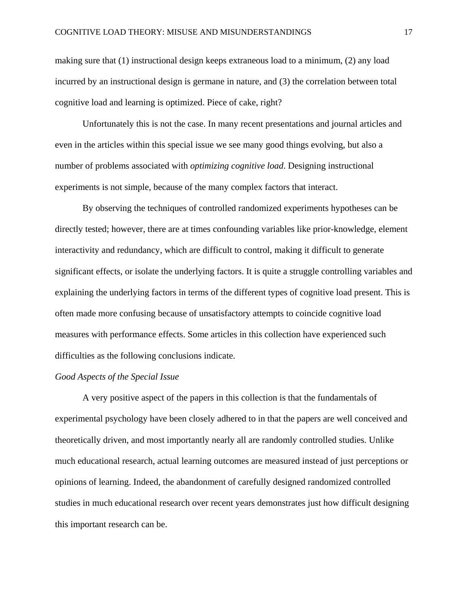making sure that (1) instructional design keeps extraneous load to a minimum, (2) any load incurred by an instructional design is germane in nature, and (3) the correlation between total cognitive load and learning is optimized. Piece of cake, right?

Unfortunately this is not the case. In many recent presentations and journal articles and even in the articles within this special issue we see many good things evolving, but also a number of problems associated with *optimizing cognitive load*. Designing instructional experiments is not simple, because of the many complex factors that interact.

By observing the techniques of controlled randomized experiments hypotheses can be directly tested; however, there are at times confounding variables like prior-knowledge, element interactivity and redundancy, which are difficult to control, making it difficult to generate significant effects, or isolate the underlying factors. It is quite a struggle controlling variables and explaining the underlying factors in terms of the different types of cognitive load present. This is often made more confusing because of unsatisfactory attempts to coincide cognitive load measures with performance effects. Some articles in this collection have experienced such difficulties as the following conclusions indicate.

# *Good Aspects of the Special Issue*

A very positive aspect of the papers in this collection is that the fundamentals of experimental psychology have been closely adhered to in that the papers are well conceived and theoretically driven, and most importantly nearly all are randomly controlled studies. Unlike much educational research, actual learning outcomes are measured instead of just perceptions or opinions of learning. Indeed, the abandonment of carefully designed randomized controlled studies in much educational research over recent years demonstrates just how difficult designing this important research can be.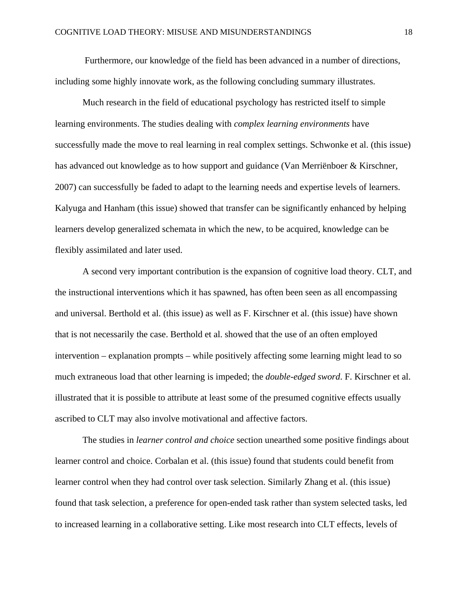Furthermore, our knowledge of the field has been advanced in a number of directions, including some highly innovate work, as the following concluding summary illustrates.

Much research in the field of educational psychology has restricted itself to simple learning environments. The studies dealing with *complex learning environments* have successfully made the move to real learning in real complex settings. Schwonke et al. (this issue) has advanced out knowledge as to how support and guidance (Van Merriënboer & Kirschner, 2007) can successfully be faded to adapt to the learning needs and expertise levels of learners. Kalyuga and Hanham (this issue) showed that transfer can be significantly enhanced by helping learners develop generalized schemata in which the new, to be acquired, knowledge can be flexibly assimilated and later used.

A second very important contribution is the expansion of cognitive load theory. CLT, and the instructional interventions which it has spawned, has often been seen as all encompassing and universal. Berthold et al. (this issue) as well as F. Kirschner et al. (this issue) have shown that is not necessarily the case. Berthold et al. showed that the use of an often employed intervention – explanation prompts – while positively affecting some learning might lead to so much extraneous load that other learning is impeded; the *double-edged sword*. F. Kirschner et al. illustrated that it is possible to attribute at least some of the presumed cognitive effects usually ascribed to CLT may also involve motivational and affective factors.

The studies in *learner control and choice* section unearthed some positive findings about learner control and choice. Corbalan et al. (this issue) found that students could benefit from learner control when they had control over task selection. Similarly Zhang et al. (this issue) found that task selection, a preference for open-ended task rather than system selected tasks, led to increased learning in a collaborative setting. Like most research into CLT effects, levels of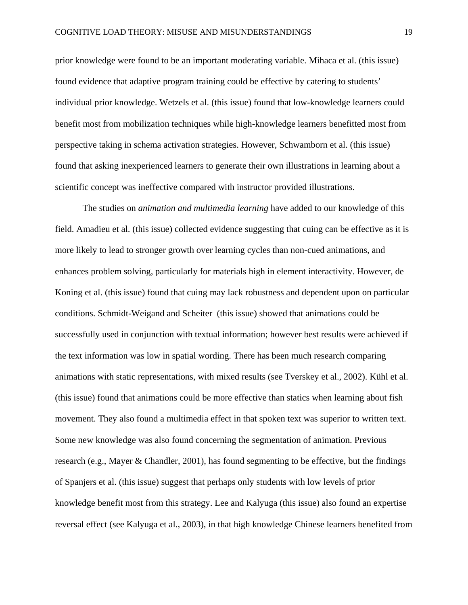prior knowledge were found to be an important moderating variable. Mihaca et al. (this issue) found evidence that adaptive program training could be effective by catering to students' individual prior knowledge. Wetzels et al. (this issue) found that low-knowledge learners could benefit most from mobilization techniques while high-knowledge learners benefitted most from perspective taking in schema activation strategies. However, Schwamborn et al. (this issue) found that asking inexperienced learners to generate their own illustrations in learning about a scientific concept was ineffective compared with instructor provided illustrations.

The studies on *animation and multimedia learning* have added to our knowledge of this field. Amadieu et al. (this issue) collected evidence suggesting that cuing can be effective as it is more likely to lead to stronger growth over learning cycles than non-cued animations, and enhances problem solving, particularly for materials high in element interactivity. However, de Koning et al. (this issue) found that cuing may lack robustness and dependent upon on particular conditions. Schmidt-Weigand and Scheiter (this issue) showed that animations could be successfully used in conjunction with textual information; however best results were achieved if the text information was low in spatial wording. There has been much research comparing animations with static representations, with mixed results (see Tverskey et al., 2002). Kühl et al. (this issue) found that animations could be more effective than statics when learning about fish movement. They also found a multimedia effect in that spoken text was superior to written text. Some new knowledge was also found concerning the segmentation of animation. Previous research (e.g., Mayer & Chandler, 2001), has found segmenting to be effective, but the findings of Spanjers et al. (this issue) suggest that perhaps only students with low levels of prior knowledge benefit most from this strategy. Lee and Kalyuga (this issue) also found an expertise reversal effect (see Kalyuga et al., 2003), in that high knowledge Chinese learners benefited from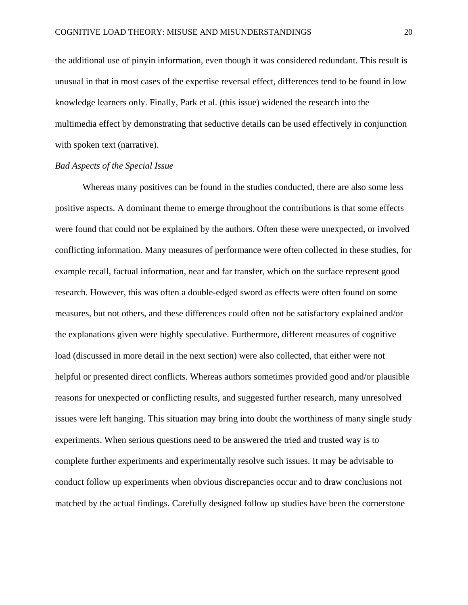the additional use of pinyin information, even though it was considered redundant. This result is unusual in that in most cases of the expertise reversal effect, differences tend to be found in low knowledge learners only. Finally, Park et al. (this issue) widened the research into the multimedia effect by demonstrating that seductive details can be used effectively in conjunction with spoken text (narrative).

## *Bad Aspects of the Special Issue*

Whereas many positives can be found in the studies conducted, there are also some less positive aspects. A dominant theme to emerge throughout the contributions is that some effects were found that could not be explained by the authors. Often these were unexpected, or involved conflicting information. Many measures of performance were often collected in these studies, for example recall, factual information, near and far transfer, which on the surface represent good research. However, this was often a double-edged sword as effects were often found on some measures, but not others, and these differences could often not be satisfactory explained and/or the explanations given were highly speculative. Furthermore, different measures of cognitive load (discussed in more detail in the next section) were also collected, that either were not helpful or presented direct conflicts. Whereas authors sometimes provided good and/or plausible reasons for unexpected or conflicting results, and suggested further research, many unresolved issues were left hanging. This situation may bring into doubt the worthiness of many single study experiments. When serious questions need to be answered the tried and trusted way is to complete further experiments and experimentally resolve such issues. It may be advisable to conduct follow up experiments when obvious discrepancies occur and to draw conclusions not matched by the actual findings. Carefully designed follow up studies have been the cornerstone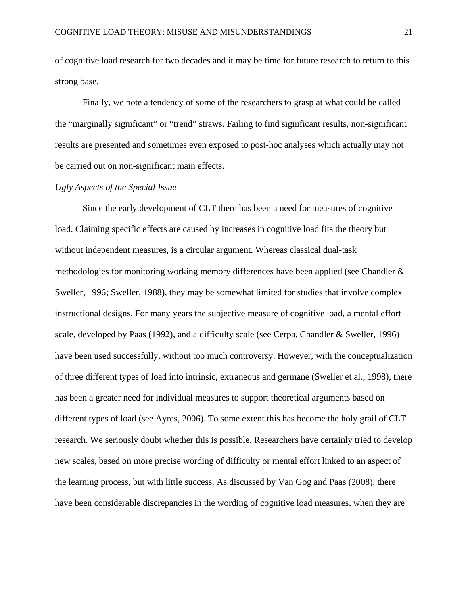of cognitive load research for two decades and it may be time for future research to return to this strong base.

Finally, we note a tendency of some of the researchers to grasp at what could be called the "marginally significant" or "trend" straws. Failing to find significant results, non-significant results are presented and sometimes even exposed to post-hoc analyses which actually may not be carried out on non-significant main effects.

### *Ugly Aspects of the Special Issue*

Since the early development of CLT there has been a need for measures of cognitive load. Claiming specific effects are caused by increases in cognitive load fits the theory but without independent measures, is a circular argument. Whereas classical dual-task methodologies for monitoring working memory differences have been applied (see Chandler & Sweller, 1996; Sweller, 1988), they may be somewhat limited for studies that involve complex instructional designs. For many years the subjective measure of cognitive load, a mental effort scale, developed by Paas (1992), and a difficulty scale (see Cerpa, Chandler & Sweller, 1996) have been used successfully, without too much controversy. However, with the conceptualization of three different types of load into intrinsic, extraneous and germane (Sweller et al., 1998), there has been a greater need for individual measures to support theoretical arguments based on different types of load (see Ayres, 2006). To some extent this has become the holy grail of CLT research. We seriously doubt whether this is possible. Researchers have certainly tried to develop new scales, based on more precise wording of difficulty or mental effort linked to an aspect of the learning process, but with little success. As discussed by Van Gog and Paas (2008), there have been considerable discrepancies in the wording of cognitive load measures, when they are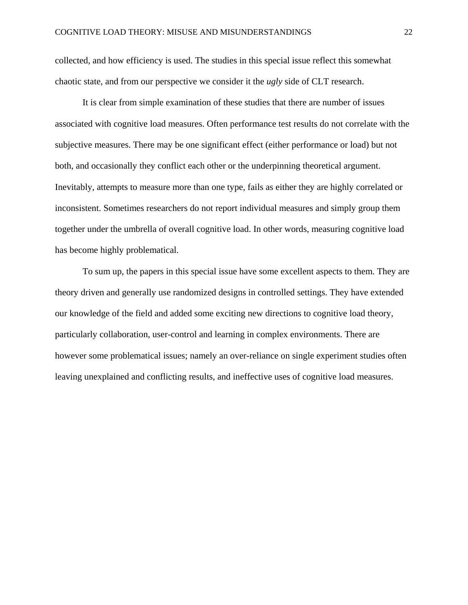collected, and how efficiency is used. The studies in this special issue reflect this somewhat chaotic state, and from our perspective we consider it the *ugly* side of CLT research.

It is clear from simple examination of these studies that there are number of issues associated with cognitive load measures. Often performance test results do not correlate with the subjective measures. There may be one significant effect (either performance or load) but not both, and occasionally they conflict each other or the underpinning theoretical argument. Inevitably, attempts to measure more than one type, fails as either they are highly correlated or inconsistent. Sometimes researchers do not report individual measures and simply group them together under the umbrella of overall cognitive load. In other words, measuring cognitive load has become highly problematical.

To sum up, the papers in this special issue have some excellent aspects to them. They are theory driven and generally use randomized designs in controlled settings. They have extended our knowledge of the field and added some exciting new directions to cognitive load theory, particularly collaboration, user-control and learning in complex environments. There are however some problematical issues; namely an over-reliance on single experiment studies often leaving unexplained and conflicting results, and ineffective uses of cognitive load measures.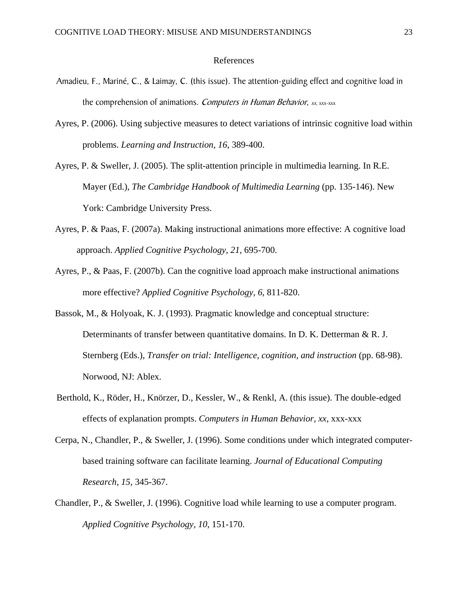#### References

- Amadieu, F., Mariné, C., & Laimay, C. (this issue). The attention-guiding effect and cognitive load in the comprehension of animations. Computers in Human Behavior, xx, xxx-xxx
- Ayres, P. (2006). Using subjective measures to detect variations of intrinsic cognitive load within problems. *Learning and Instruction, 16*, 389-400.
- Ayres, P. & Sweller, J. (2005). The split-attention principle in multimedia learning. In R.E. Mayer (Ed.), *The Cambridge Handbook of Multimedia Learning* (pp. 135-146). New York: Cambridge University Press.
- Ayres, P. & Paas, F. (2007a). Making instructional animations more effective: A cognitive load approach. *Applied Cognitive Psychology, 21*, 695-700.
- Ayres, P., & Paas, F. (2007b). Can the cognitive load approach make instructional animations more effective? *Applied Cognitive Psychology, 6*, 811-820.
- Bassok, M., & Holyoak, K. J. (1993). Pragmatic knowledge and conceptual structure: Determinants of transfer between quantitative domains. In D. K. Detterman & R. J. Sternberg (Eds.), *Transfer on trial: Intelligence, cognition, and instruction* (pp. 68-98). Norwood, NJ: Ablex.
- Berthold, K., Röder, H., Knörzer, D., Kessler, W., & Renkl, A. (this issue). The double-edged effects of explanation prompts. *Computers in Human Behavior, xx*, xxx-xxx
- Cerpa, N., Chandler, P., & Sweller, J. (1996). Some conditions under which integrated computerbased training software can facilitate learning. *Journal of Educational Computing Research, 15*, 345-367.
- Chandler, P., & Sweller, J. (1996). Cognitive load while learning to use a computer program. *Applied Cognitive Psychology, 10*, 151-170.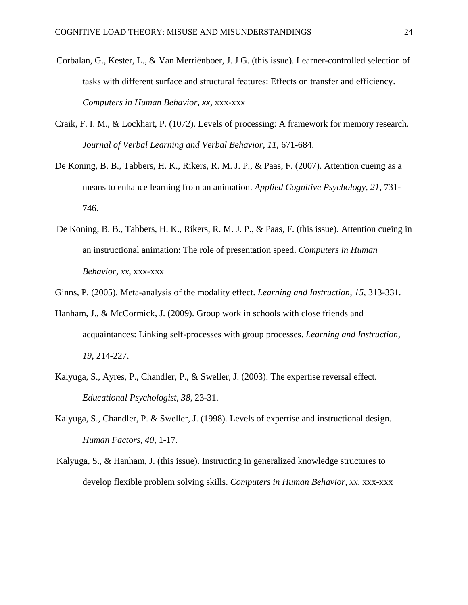- Corbalan, G., Kester, L., & Van Merriënboer, J. J G. (this issue). Learner-controlled selection of tasks with different surface and structural features: Effects on transfer and efficiency. *Computers in Human Behavior, xx*, xxx-xxx
- Craik, F. I. M., & Lockhart, P. (1072). Levels of processing: A framework for memory research. *Journal of Verbal Learning and Verbal Behavior, 11*, 671-684.
- De Koning, B. B., Tabbers, H. K., Rikers, R. M. J. P., & Paas, F. (2007). Attention cueing as a means to enhance learning from an animation. *Applied Cognitive Psychology, 21*, 731- 746.
- De Koning, B. B., Tabbers, H. K., Rikers, R. M. J. P., & Paas, F. (this issue). Attention cueing in an instructional animation: The role of presentation speed. *Computers in Human Behavior, xx*, xxx-xxx
- Ginns, P. (2005). Meta-analysis of the modality effect. *Learning and Instruction, 15*, 313-331.
- Hanham, J., & McCormick, J. (2009). Group work in schools with close friends and acquaintances: Linking self-processes with group processes. *Learning and Instruction, 19*, 214-227.
- Kalyuga, S., Ayres, P., Chandler, P., & Sweller, J. (2003). The expertise reversal effect. *Educational Psychologist, 38*, 23-31.
- Kalyuga, S., Chandler, P. & Sweller, J. (1998). Levels of expertise and instructional design. *Human Factors, 40*, 1-17.
- Kalyuga, S., & Hanham, J. (this issue). Instructing in generalized knowledge structures to develop flexible problem solving skills. *Computers in Human Behavior, xx*, xxx-xxx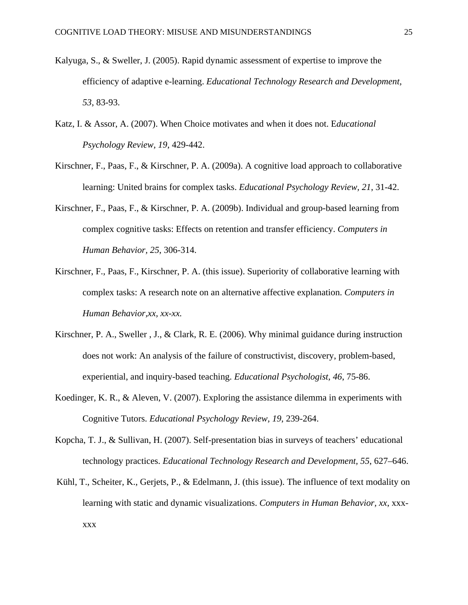- Kalyuga, S., & Sweller, J. (2005). Rapid dynamic assessment of expertise to improve the efficiency of adaptive e-learning. *Educational Technology Research and Development, 53*, 83-93.
- Katz, I. & Assor, A. (2007). When Choice motivates and when it does not. E*ducational Psychology Review, 19*, 429-442.
- Kirschner, F., Paas, F., & Kirschner, P. A. (2009a). A cognitive load approach to collaborative learning: United brains for complex tasks. *Educational Psychology Review, 21*, 31-42.
- Kirschner, F., Paas, F., & Kirschner, P. A. (2009b). Individual and group-based learning from complex cognitive tasks: Effects on retention and transfer efficiency. *Computers in Human Behavior, 25*, 306-314.
- Kirschner, F., Paas, F., Kirschner, P. A. (this issue). Superiority of collaborative learning with complex tasks: A research note on an alternative affective explanation. *Computers in Human Behavior,xx, xx-xx.*
- Kirschner, P. A., Sweller , J., & Clark, R. E. (2006). Why minimal guidance during instruction does not work: An analysis of the failure of constructivist, discovery, problem-based, experiential, and inquiry-based teaching. *Educational Psychologist, 46*, 75-86.
- Koedinger, K. R., & Aleven, V. (2007). Exploring the assistance dilemma in experiments with Cognitive Tutors. *Educational Psychology Review, 19*, 239-264.
- Kopcha, T. J., & Sullivan, H. (2007). Self-presentation bias in surveys of teachers' educational technology practices. *Educational Technology Research and Development, 55*, 627–646.
- Kühl, T., Scheiter, K., Gerjets, P., & Edelmann, J. (this issue). The influence of text modality on learning with static and dynamic visualizations. *Computers in Human Behavior, xx*, xxxxxx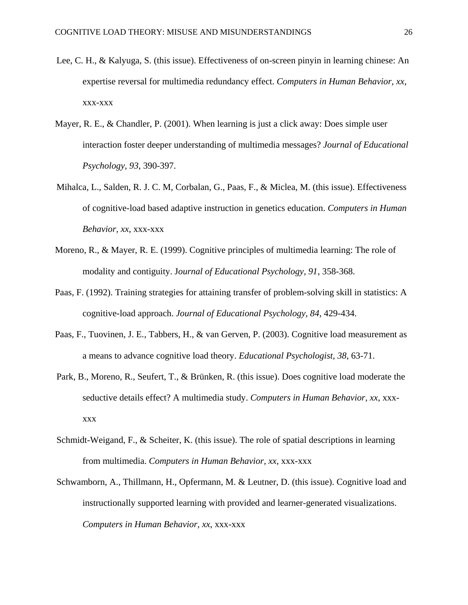- Lee, C. H., & Kalyuga, S. (this issue). Effectiveness of on-screen pinyin in learning chinese: An expertise reversal for multimedia redundancy effect. *Computers in Human Behavior, xx*, xxx-xxx
- Mayer, R. E., & Chandler, P. (2001). When learning is just a click away: Does simple user interaction foster deeper understanding of multimedia messages? *Journal of Educational Psychology, 93*, 390-397.
- Mihalca, L., Salden, R. J. C. M, Corbalan, G., Paas, F., & Miclea, M. (this issue). Effectiveness of cognitive-load based adaptive instruction in genetics education. *Computers in Human Behavior, xx*, xxx-xxx
- Moreno, R., & Mayer, R. E. (1999). Cognitive principles of multimedia learning: The role of modality and contiguity. J*ournal of Educational Psychology, 91*, 358-368.
- Paas, F. (1992). Training strategies for attaining transfer of problem-solving skill in statistics: A cognitive-load approach. *Journal of Educational Psychology, 84*, 429-434.
- Paas, F., Tuovinen, J. E., Tabbers, H., & van Gerven, P. (2003). Cognitive load measurement as a means to advance cognitive load theory. *Educational Psychologist, 38*, 63-71.
- Park, B., Moreno, R., Seufert, T., & Brünken, R. (this issue). Does cognitive load moderate the seductive details effect? A multimedia study. *Computers in Human Behavior, xx*, xxxxxx
- Schmidt-Weigand, F., & Scheiter, K. (this issue). The role of spatial descriptions in learning from multimedia. *Computers in Human Behavior, xx*, xxx-xxx
- Schwamborn, A., Thillmann, H., Opfermann, M. & Leutner, D. (this issue). Cognitive load and instructionally supported learning with provided and learner-generated visualizations. *Computers in Human Behavior, xx*, xxx-xxx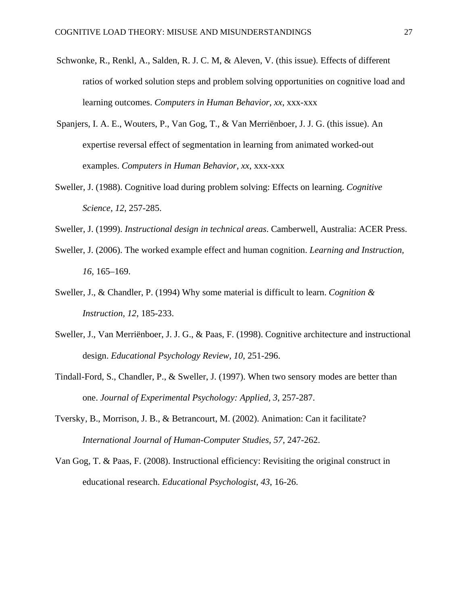- Schwonke, R., Renkl, A., Salden, R. J. C. M, & Aleven, V. (this issue). Effects of different ratios of worked solution steps and problem solving opportunities on cognitive load and learning outcomes. *Computers in Human Behavior, xx*, xxx-xxx
- Spanjers, I. A. E., Wouters, P., Van Gog, T., & Van Merriënboer, J. J. G. (this issue). An expertise reversal effect of segmentation in learning from animated worked-out examples. *Computers in Human Behavior, xx*, xxx-xxx
- Sweller, J. (1988). Cognitive load during problem solving: Effects on learning. *Cognitive Science, 12*, 257-285.
- Sweller, J. (1999). *Instructional design in technical areas*. Camberwell, Australia: ACER Press.
- Sweller, J. (2006). The worked example effect and human cognition. *Learning and Instruction, 16*, 165–169.
- Sweller, J., & Chandler, P. (1994) Why some material is difficult to learn. *Cognition & Instruction, 12*, 185-233.
- Sweller, J., Van Merriënboer, J. J. G., & Paas, F. (1998). Cognitive architecture and instructional design. *Educational Psychology Review, 10*, 251-296.
- Tindall-Ford, S., Chandler, P., & Sweller, J. (1997). When two sensory modes are better than one. *Journal of Experimental Psychology: Applied, 3*, 257-287.
- Tversky, B., Morrison, J. B., & Betrancourt, M. (2002). Animation: Can it facilitate? *International Journal of Human-Computer Studies, 57,* 247-262.
- Van Gog, T. & Paas, F. (2008). Instructional efficiency: Revisiting the original construct in educational research. *Educational Psychologist, 43*, 16-26.